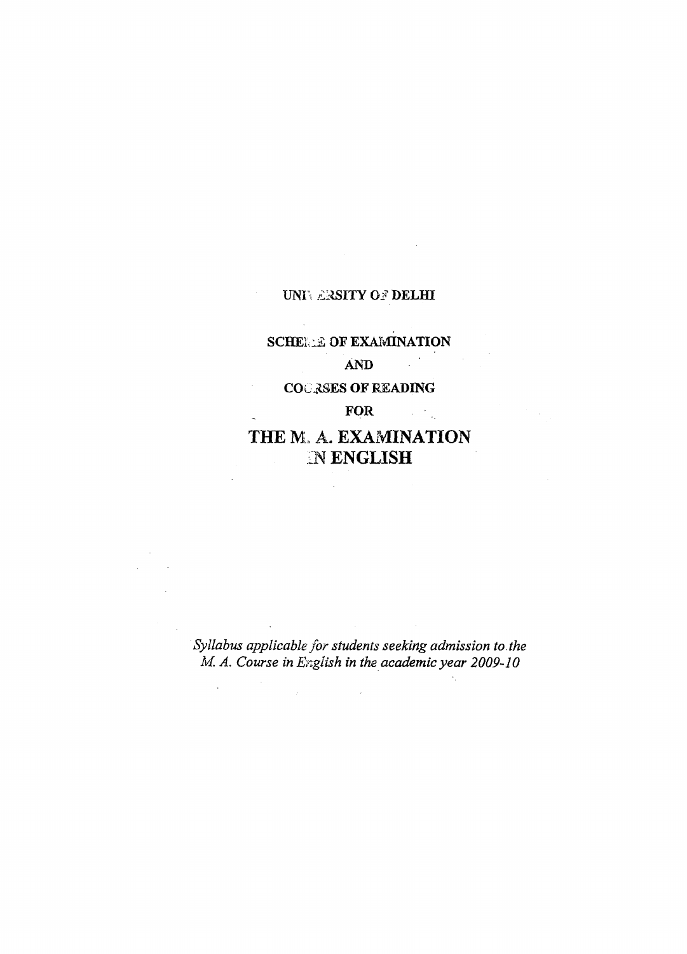# **UNIVERSITY OF DELHI**

# **SCHELLE OF EXAMINATION AND**

# **COURSES OF READING**

 $\bar{z}$ 

 $\overline{a}$ 

 $\mathcal{L}_{\mathrm{eff}}$ 

**FOR**

 $\mathcal{L}^{\text{max}}_{\text{max}}$  ,  $\mathcal{L}^{\text{max}}_{\text{max}}$ 

# **THE M.** A. **EXAMINATION** IN **ENGLISH**

 $\sim$ 

*Syllabus applicable for students seeking admission to the M. A. Course in English in the academic year 2009-10*

 $\label{eq:2.1} \frac{1}{\sqrt{2}}\int_{\mathbb{R}^3} \frac{1}{\sqrt{2}}\left(\frac{1}{\sqrt{2}}\right)^2\left(\frac{1}{\sqrt{2}}\right)^2\left(\frac{1}{\sqrt{2}}\right)^2\left(\frac{1}{\sqrt{2}}\right)^2.$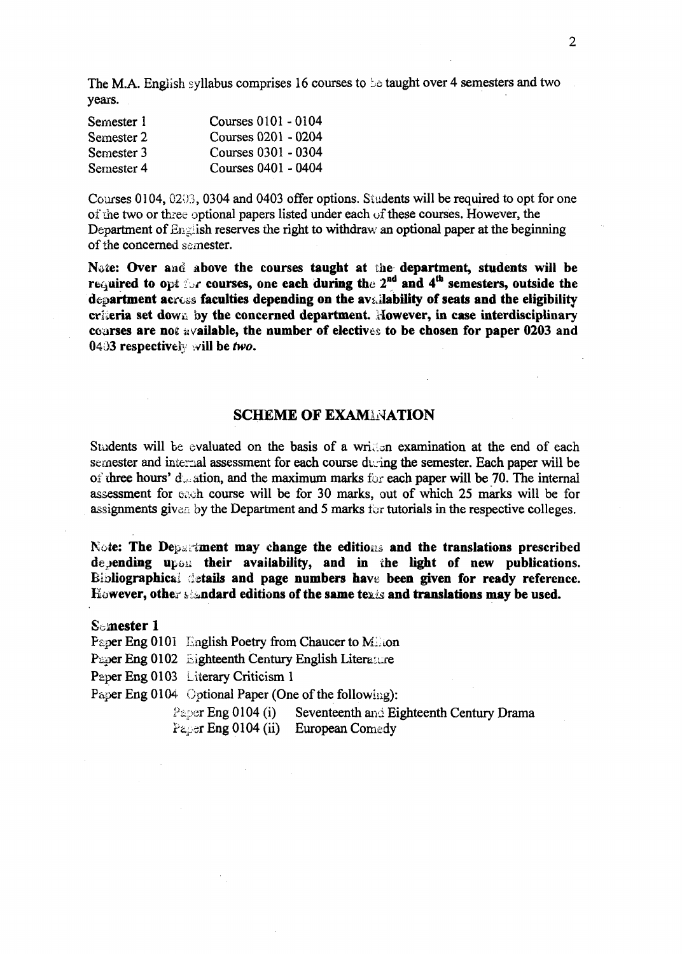The M.A. English syllabus comprises 16 courses to be taught over 4 semesters and two years.

| Semester 1 | Courses 0101 - 0104 |
|------------|---------------------|
| Semester 2 | Courses 0201 - 0204 |
| Semester 3 | Courses 0301 - 0304 |
| Semester 4 | Courses 0401 - 0404 |

Courses 0104,0203**,** 0304 and 0403 offer options. Students will be required to opt for one of the two or three optional papers listed under each of these courses. However, the Department of  $En$ glish reserves the right to withdraw an optional paper at the beginning of the concerned semester.

**Note: Over and above the courses taught at** the **department, students will be** required to opt for courses, one each during the 2<sup>nd</sup> and 4<sup>th</sup> semesters, outside the department acress faculties depending on the availability of seats and the eligibility **criteria set down by the concerned department. However, in case interdisciplinary courses are no£ a vailable, the number of electives to be chosen for paper 0203 and 04i>3 respectively will be** *two.*

#### **SCHEME OF EXAMINATION**

Students will be evaluated on the basis of a written examination at the end of each semester and internal assessment for each course during the semester. Each paper will be of three hours' d<sub>on</sub> ation, and the maximum marks for each paper will be 70. The internal assessment for each course will be for 30 marks, out of which 25 marks will be for assignments given by the Department and 5 marks for tutorials in the respective colleges.

Note: The Department may change the editions and the translations prescribed depending upon their availability, and in the light of new publications. **Bibliographical details and page numbers have been given for ready reference.** However, other *i indard editions of the same texis and translations may be used.* 

**Semester 1**

Paper Eng 0101 English Poetry from Chaucer to Milion

Paper Eng 0102 Eighteenth Century English Literature

Paper Eng 0103 Literary Criticism 1

Paper Eng 0104 Optional Paper (One of the following):

Paper Eng 0104 (i) Seventeenth and Eighteenth Century Drama Paper Eng 0104 (ii) European Comedy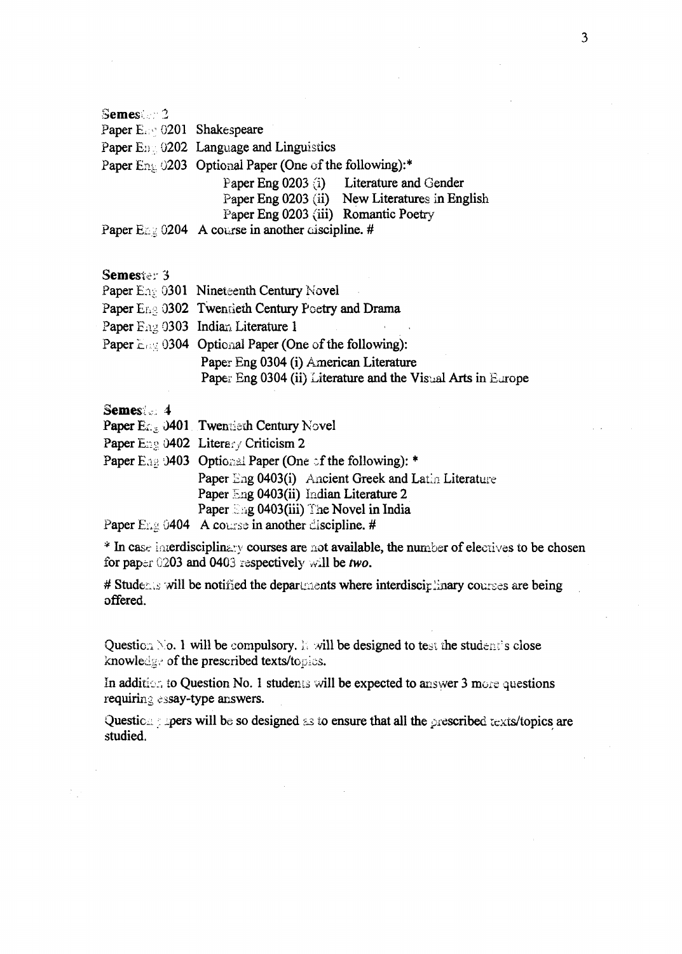Semes: 2 Paper E. 0201 Shakespeare Paper E<sub>D3</sub> 0202 Language and Linguistics Paper Eng 0203 Optional Paper (One of the following):\* Paper Eng 0203 (i) Literature and Gender Paper Eng 0203 (ii) New Literatures in English Paper Eng 0203 (iii) Romantic Poetry Paper  $\text{Enc} 0204$  A course in another ciscipline. #

### **Semester 3**

Paper Env 0301 Nineteenth Century Novel

Paper Eng 0302 Twentieth Century Poetry and Drama

Paper Eng 0303 Indian Literature 1

Paper  $E \approx 0304$  Optional Paper (One of the following): Paper Eng 0304 (i) American Literature Paper Eng 0304 (ii) Literature and the Visual Arts in Europe

#### **Semes:, 4**

| Paper $E_{\mathbb{Z}_{\geq 0}}$ 0401 Twentieth Century Novel |
|--------------------------------------------------------------|
|--------------------------------------------------------------|

- Paper Eng 0402 Literary Criticism 2
- Paper Ease 0403 Optional Paper (One of the following): \* Paper Eng 0403(i) Ancient Greek and Latin Literature Paper Eng 0403(ii) Indian Literature 2 Paper Eng 0403(iii) The Novel in India Paper Eng 0404 A course in another discipline. #

\* In case interdisciplinary courses are not available, the number of electives to be chosen for paper G203 and 0403 respectively will be *two.*

# Students will be notified the departments where interdisciplinary courses are being offered.

Question  $\infty$  . 1 will be compulsory. It will be designed to test the student's close knowledge of the prescribed texts/topics.

In addition to Question No. 1 students will be expected to answer 3 more questions requiring essay-type answers.

Question : pers will be so designed as to ensure that all the prescribed texts/topics are studied.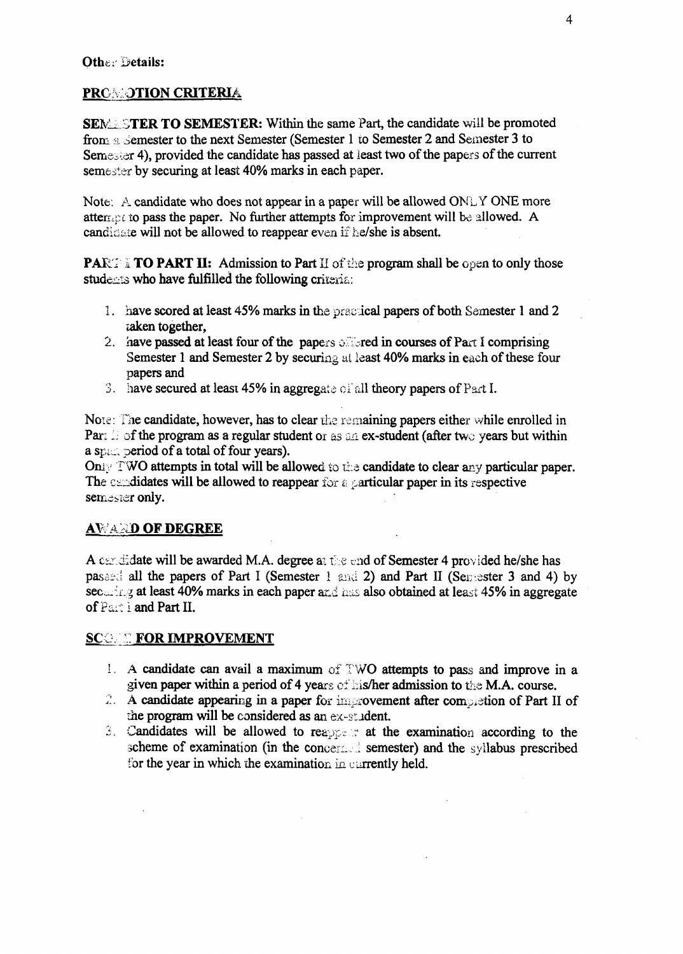# PROMOTION CRITERIA

SEMETER TO SEMESTER: Within the same Part, the candidate will be promoted from **a** Semester to the next Semester (Semester 1 **io** Semester 2 and Semester 3 to Semester 4), provided the candidate has passed at least two of the papers of the current semester by securing at least 40% marks in each paper.

Note: A candidate who does not appear in a paper will be allowed ONLY ONE more attermation to pass the paper. No further attempts for improvement will be allowed. A candidate will not be allowed to reappear even if he/she is absent.

**PART II:** Admission to Part II of the program shall be open to only those students who have fulfilled the following criteria:

- 1. have scored at least 45% marks in the practical papers of both Semester 1 and 2 zaken together,
- 2. have passed at least four of the papers of red in courses of Part I comprising Semester 1 and Semester 2 by securing at least 40% marks in each of these four papers and
- 3. have secured at leasi 45% in aggregate of all theory papers of Part I.

**Note:** Hie candidate, however, has to clear **the** remaining papers either while enrolled in Part i: of the program as a regular student or as an ex-student (after two years but within a spt. period of a total of four years).

Only TWO attempts in total will be allowed to the candidate to clear any particular paper. The candidates will be allowed to reappear *for &* particular paper in its respective semester only.

# **AWARD OF DEGREE**

A candidate will be awarded M.A. degree at the end of Semester 4 provided he/she has passed all the papers of Part I (Semester 1 and 2) and Part II (Semester 3 and 4) by sec....<sup>1</sup>ng at least 40% marks in each paper and has also obtained at least 45% in aggregate of Par: 1 and Part II.

# **SCOPE FOR IMPROVEMENT**

- 1. A candidate can avail a maximum of TWO attempts to pass and improve in a given paper within a period of 4 years of his/her admission to the M.A. course.
- *2.* A candidate appearing in a paper for improvement after completion of Part II of the program will be considered as an ex-student.
- 2. Candidates will be allowed to reapprene at the examination according to the scheme of examination (in the concerned semester) and the syllabus prescribed for the year in which the examination in currently held.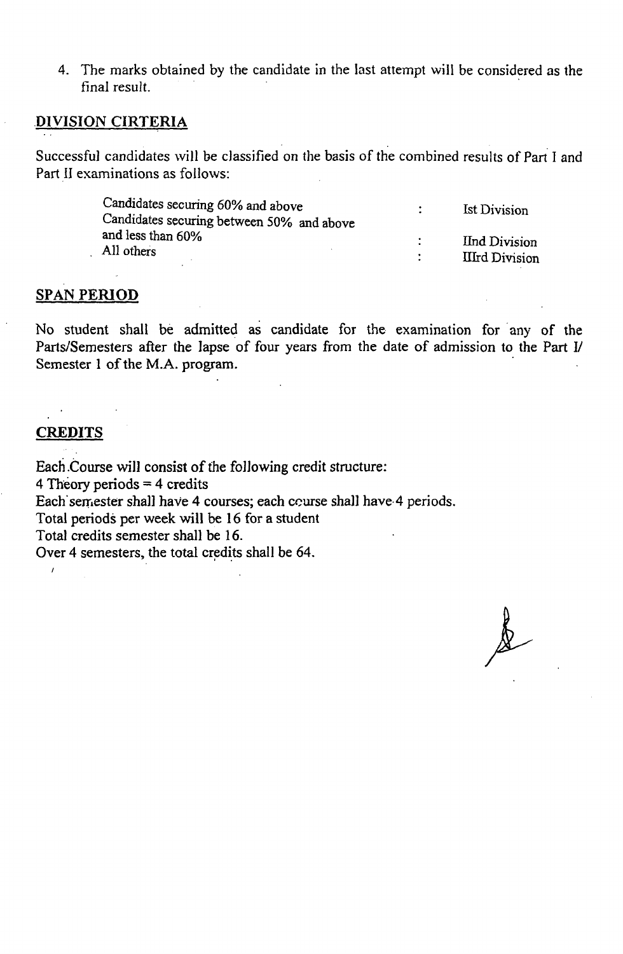4. The marks obtained by the candidate in the last attempt will be considered as the final result.

#### DIVISION CIRTERIA

Successful candidates will be classified on the basis of the combined results of Part I and Part II examinations as follows:

| Candidates securing 60% and above         | <b>Ist Division</b>   |
|-------------------------------------------|-----------------------|
| Candidates securing between 50% and above |                       |
| and less than 60%                         | <b>Ind Division</b>   |
| All others                                | <b>IIIrd Division</b> |

### **SPAN PERIOD**

No student shall be admitted as candidate for the examination for any of the Parts/Semesters after the lapse of four years from the date of admission to the Part 1/ Semester 1 of the M.A. program.

### **CREDITS**

Each .Course will consist of the following credit structure:

4 Theory periods  $=$  4 credits

Each'semester shall have 4 courses; each course shall have 4 periods.

Total periods per week will be 16 for a student

Total credits semester shall be 16.

Over 4 semesters, the total credits shall be 64.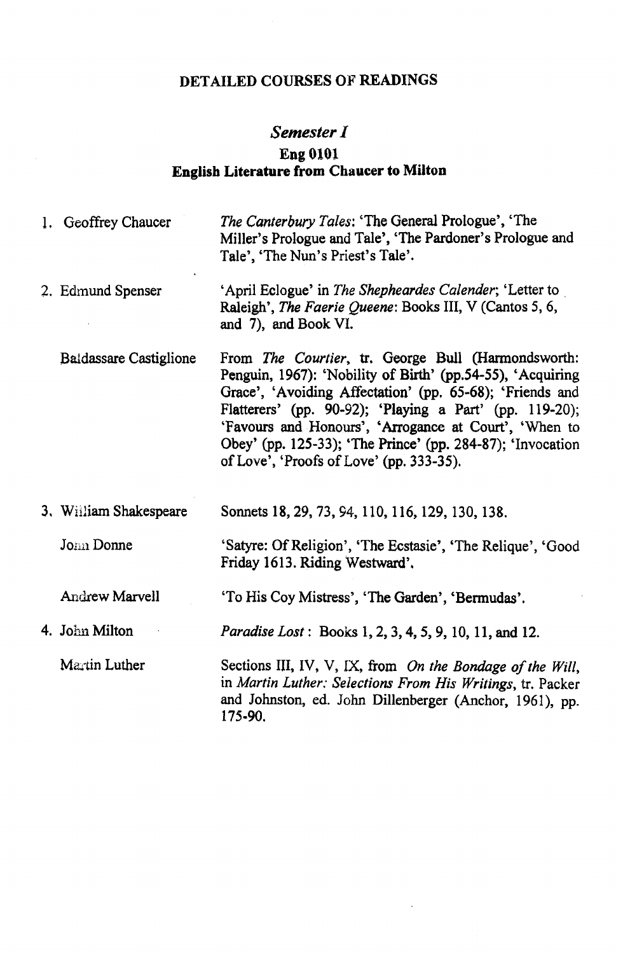# **DETAILED COURSES OF READINGS**

# *Semester I*

## **Eng 0101 English Literature from Chaucer to Milton**

| 1. Geoffrey Chaucer           | The Canterbury Tales: 'The General Prologue', 'The<br>Miller's Prologue and Tale', 'The Pardoner's Prologue and<br>Tale', 'The Nun's Priest's Tale'.                                                                                                                                                                                                                                                       |
|-------------------------------|------------------------------------------------------------------------------------------------------------------------------------------------------------------------------------------------------------------------------------------------------------------------------------------------------------------------------------------------------------------------------------------------------------|
| 2. Edmund Spenser             | 'April Eclogue' in The Shepheardes Calender; 'Letter to<br>Raleigh', The Faerie Queene: Books III, V (Cantos 5, 6,<br>and 7), and Book VI.                                                                                                                                                                                                                                                                 |
| <b>Baldassare Castiglione</b> | From The Courtier, tr. George Bull (Harmondsworth:<br>Penguin, 1967): 'Nobility of Birth' (pp.54-55), 'Acquiring<br>Grace', 'Avoiding Affectation' (pp. 65-68); 'Friends and<br>Flatterers' (pp. 90-92); 'Playing a Part' (pp. 119-20);<br>'Favours and Honours', 'Arrogance at Court', 'When to<br>Obey' (pp. 125-33); 'The Prince' (pp. 284-87); 'Invocation<br>of Love', 'Proofs of Love' (pp. 333-35). |
| 3. William Shakespeare        | Sonnets 18, 29, 73, 94, 110, 116, 129, 130, 138.                                                                                                                                                                                                                                                                                                                                                           |
| Jonn Donne                    | 'Satyre: Of Religion', 'The Ecstasie', 'The Relique', 'Good<br>Friday 1613. Riding Westward'.                                                                                                                                                                                                                                                                                                              |
| Andrew Marvell                | 'To His Coy Mistress', 'The Garden', 'Bermudas'.                                                                                                                                                                                                                                                                                                                                                           |
| 4. John Milton                | Paradise Lost: Books 1, 2, 3, 4, 5, 9, 10, 11, and 12.                                                                                                                                                                                                                                                                                                                                                     |
| Martin Luther                 | Sections III, IV, V, IX, from On the Bondage of the Will,<br>in Martin Luther: Selections From His Writings, tr. Packer<br>and Johnston, ed. John Dillenberger (Anchor, 1961), pp.<br>175-90.                                                                                                                                                                                                              |

 $\ddot{\phantom{a}}$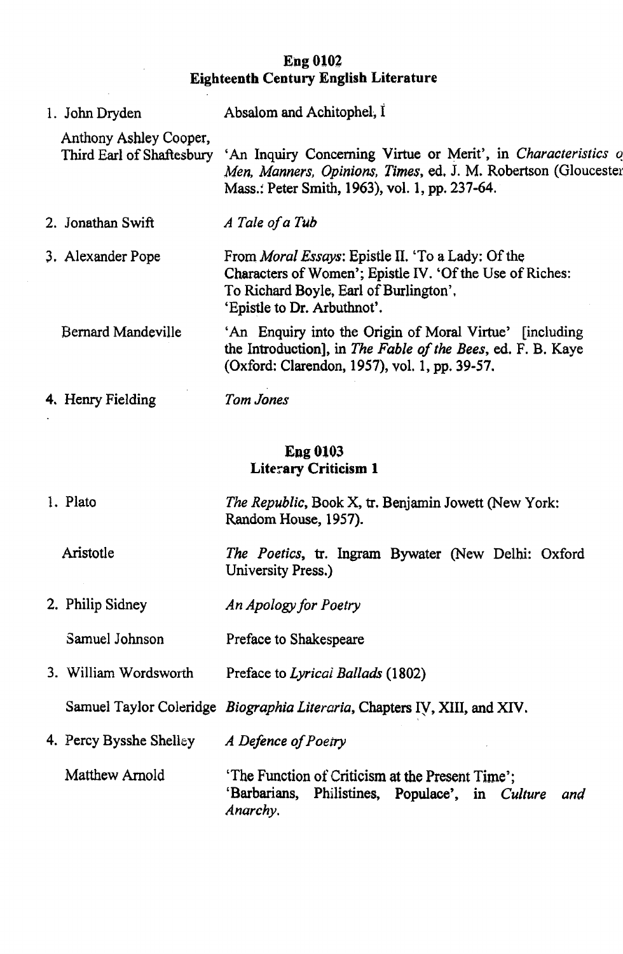## **Eng 0102 Eighteenth Century English Literature**

1. JohnDryden Anthony Ashley Cooper, Third Earl of Shaftesbury 2. Jonathan Swift 3. Alexander Pope Bernard Mandeville 4. Henry Fielding Absalom and Achitophel, I 'An Inquiry Concerning Virtue or Merit', in *Characteristics v Men, Manners, Opinions, Times,* ed, J. M. Robertson (Gloucester Mass.: Peter Smith, 1963), vol. 1, pp. 237-64. A Tale of a Tub From *Moral Essays*: Epistle II. 'To a Lady: Of the Characters of Women'; Epistle IV. 'Of the Use of Riches: To Richard Boyle, Earl of Burlington', 'Epistle to Dr. Arbuthnot'. 'An Enquiry into the Origin of Moral Virtue' [including the Introduction], in *The Fable of the Bees*, ed. F. B. Kaye (Oxford: Clarendon, 1957), vol. 1, pp. 39-57. *Tom Jones*

### **Eng 0103 Literary Criticism 1**

1. Plato Aristotle 2. Philip Sidney Samuel Johnson 3. William Wordsworth Samuel Taylor Coleridge *Biographia Literaria*, Chapters IV, XIII, and XIV. 4. Percy Bysshe Shelley Matthew Arnold *The Republic,* Book X, tr. Benjamin Jowett (New York: Random House, 1957). *The Poetics,* tr. Ingram Bywater (New Delhi: Oxford University Press.) *An Apology for Poetry* Preface to Shakespeare Preface to *Lyrical Ballads* (1802) A Defence of Poetry 'The Function of Criticism at the Present Time'; 'Barbarians, Philistines, Populace', in *Culture and Anarchy.*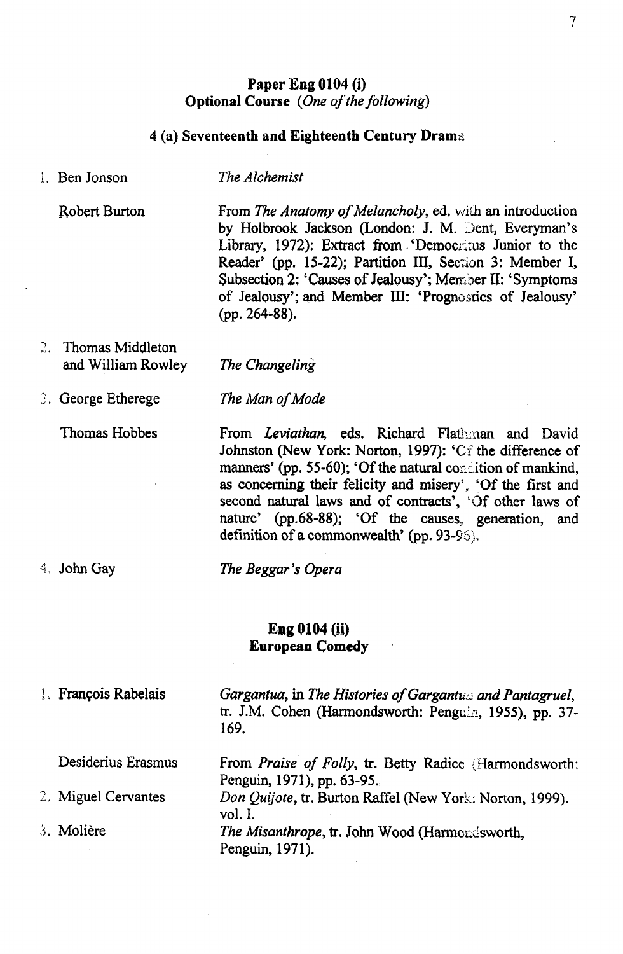## Paper Eng 0104 (i) Optional Course *{One o f the following)*

# 4 (a) Seventeenth and Eighteenth Century Dram.

*The Alchemist*

1. Ben Jonson

| Robert Burton                           | From The Anatomy of Melancholy, ed. with an introduction<br>by Holbrook Jackson (London: J. M. Dent, Everyman's<br>Library, 1972): Extract from 'Democritus Junior to the<br>Reader' (pp. 15-22); Partition III, Section 3: Member I,<br>Subsection 2: 'Causes of Jealousy'; Member II: 'Symptoms<br>of Jealousy'; and Member III: 'Prognostics of Jealousy'<br>$(pp. 264-88).$                            |  |
|-----------------------------------------|------------------------------------------------------------------------------------------------------------------------------------------------------------------------------------------------------------------------------------------------------------------------------------------------------------------------------------------------------------------------------------------------------------|--|
| Thomas Middleton<br>and William Rowley  | The Changeling                                                                                                                                                                                                                                                                                                                                                                                             |  |
| 3. George Etherege                      | The Man of Mode                                                                                                                                                                                                                                                                                                                                                                                            |  |
| Thomas Hobbes                           | From Leviathan, eds. Richard Flathman and David<br>Johnston (New York: Norton, 1997): 'Ci the difference of<br>manners' (pp. 55-60); 'Of the natural condition of mankind,<br>as concerning their felicity and misery', 'Of the first and<br>second natural laws and of contracts', 'Of other laws of<br>nature' (pp.68-88); 'Of the causes, generation, and<br>definition of a commonwealth' (pp. 93-96). |  |
| $4.$ John Gay                           | The Beggar's Opera                                                                                                                                                                                                                                                                                                                                                                                         |  |
| Eng 0104 (ii)<br><b>European Comedy</b> |                                                                                                                                                                                                                                                                                                                                                                                                            |  |
| 1. François Rabelais                    | Gargantua, in The Histories of Gargantua and Pantagruel,<br>tr. J.M. Cohen (Harmondsworth: Penguin, 1955), pp. 37-<br>169.                                                                                                                                                                                                                                                                                 |  |
| Desiderius Erasmus                      | From <i>Praise of Folly</i> , tr. Betty Radice (Harmondsworth:                                                                                                                                                                                                                                                                                                                                             |  |
| 2. Miguel Cervantes                     | Penguin, 1971), pp. 63-95.<br>Don Quijote, tr. Burton Raffel (New York: Norton, 1999).                                                                                                                                                                                                                                                                                                                     |  |
| 3. Molière                              | vol. I.<br>The Misanthrope, tr. John Wood (Harmondsworth,<br>Penguin, 1971).                                                                                                                                                                                                                                                                                                                               |  |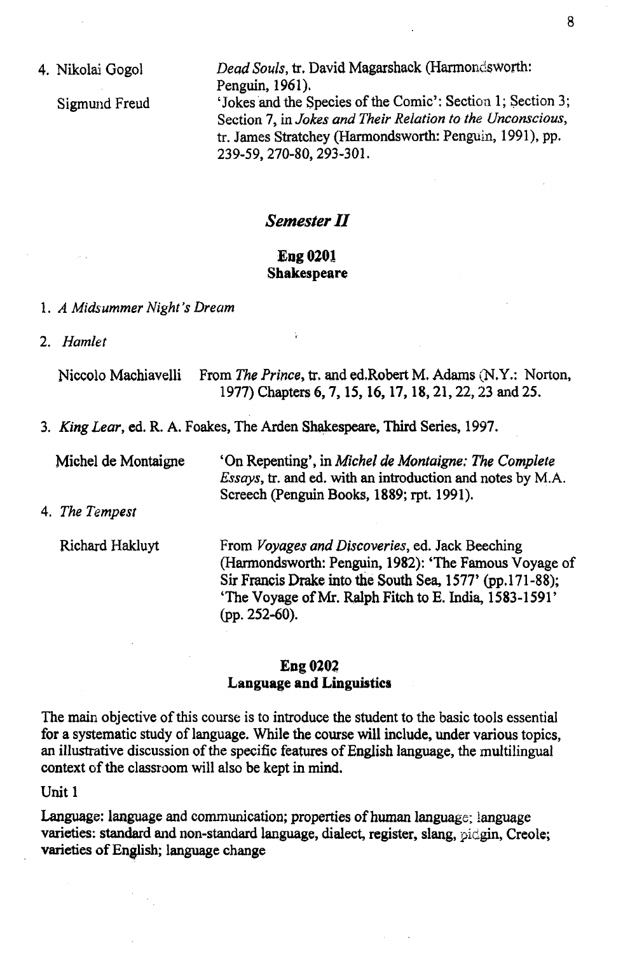4. Nikolai Gogol

Sigmund Freud

Dead Souls, tr. David Magarshack (Harmondsworth: Penguin, 1961). 'Jokes and the Species of the Comic': Section 1; Section 3; Section 7, in *Jokes and Their Relation to the Unconscious,* tr. James Stratchey (Harmondsworth: Penguin, 1991), pp. 239-59, 270-80,293-301.

## *Semester II*

### **Eng 0201 Shakespeare**

- 1. *A Midsummer Night's Dream*
- 2. *Hamlet*

| Niccolo Machiavelli From The Prince, tr. and ed.Robert M. Adams (N.Y.: Norton, |
|--------------------------------------------------------------------------------|
| 1977) Chapters 6, 7, 15, 16, 17, 18, 21, 22, 23 and 25.                        |

3. *King Lear,* ed. R. A. Foakes, The Arden Shakespeare, Third Series, 1997.

Michel de Montaigne 'On Repenting', in *Michel de Montaigne: The Complete Essays,* tr. and ed. with an introduction and notes by M.A. Screech (Penguin Books, 1889; rpt. 1991).

4. *The Tempest*

Richard Hakluyt

From *Voyages and Discoveries,* ed. Jack Beeching (Harmondsworth: Penguin, 1982): 'The Famous Voyage of Sir Francis Drake into the South Sea, 1577' (pp. 171-88); 'The Voyage of Mr. Ralph Fitch to E. India, 1583-1591' (pp. 252-60).

### **Eng 020? Language and Linguistics**

The main objective of this course is to introduce the student to the basic tools essential for a systematic study of language. While the course will include, under various topics, an illustrative discussion of the specific features of English language, the multilingual context of the classroom will also be kept in mind.

Unit 1

Language: language and communication; properties of human language; language varieties: standard and non-standard language, dialect, register, slang, pidgin, Creole; varieties of English; language change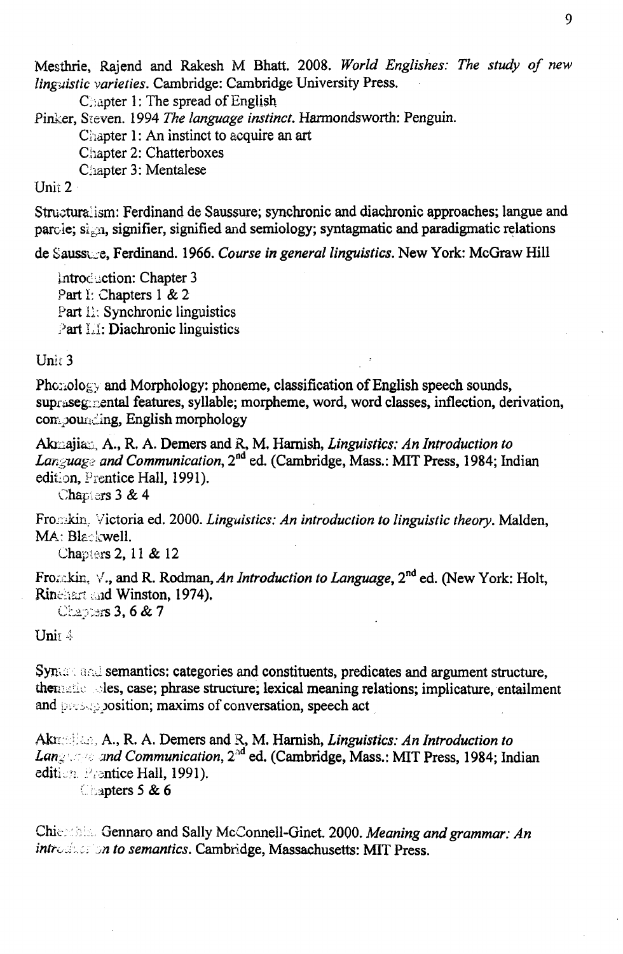Mesthrie, Rajend and Rakesh M Bhatt. 2008. *World Englishes: The study of new linguistic varieties.* Cambridge: Cambridge University Press.

Chapter 1: The spread of English

Pinker, Steven. 1994 *The language instinct.* Harmondsworth: Penguin.

Chapter 1: An instinct to acquire an art

Chapter 2: Chatterboxes

Chapter 3: Mentalese

# Unit 2

Structuralism: Ferdinand de Saussure; synchronic and diachronic approaches; langue and parole;  $\vec{s}_{n}$ , signifier, signified and semiology; syntagmatic and paradigmatic relations

de Saussu\_s, Ferdinand. 1966. *Course in general linguistics.* New York: McGraw Hill

introduction: Chapter 3 Part I: Chapters 1 & 2 Part II; Synchronic linguistics Part II: Diachronic linguistics

**Unit 3**

 $Phozolocy$  and Morphology: phoneme, classification of English speech sounds, supraseg.mental features, syllable; morpheme, word, word classes, inflection, derivation, compounding, English morphology

Akmajian, A., R. A. Demers and R, M. Hamish, *Linguistics: An Introduction to Language and Communication,* 2nd ed. (Cambridge, Mass.: MIT Press, 1984; Indian edition, Prentice Hall, 1991).

Chapters 3 & 4

Fronikin. Victoria ed. 2000. *Linguistics: An introduction to linguistic theory.* Malden, MA: Blackwell.

Chapters 2,11 & 12

Fro $\infty$ **)** kin.  $\vee$ , and R. Rodman, *An Introduction to Language*, 2<sup>nd</sup> ed. (New York: Holt, Rinehart and Winston, 1974).

Chapter**s 3, 6 & 7** 

Unit 4

Synum and semantics: categories and constituents, predicates and argument structure, then les, case; phrase structure; lexical meaning relations; implicature, entailment and  $\log$  solution; maxims of conversation, speech act

Akix h: :... A., R. A. Demers and R, M. Harnish, *Linguistics: An Introduction to Lang . and Communication,* 2<sup>nd</sup> ed. (Cambridge, Mass.: MIT Press, 1984; Indian edition. Prentice Hall, 1991). **(. ipters 5 & 6**

Chie : his Gennaro and Sally McConnell-Ginet. 2000. *Meaning and grammar: An* introduction to semantics. Cambridge, Massachusetts: MIT Press.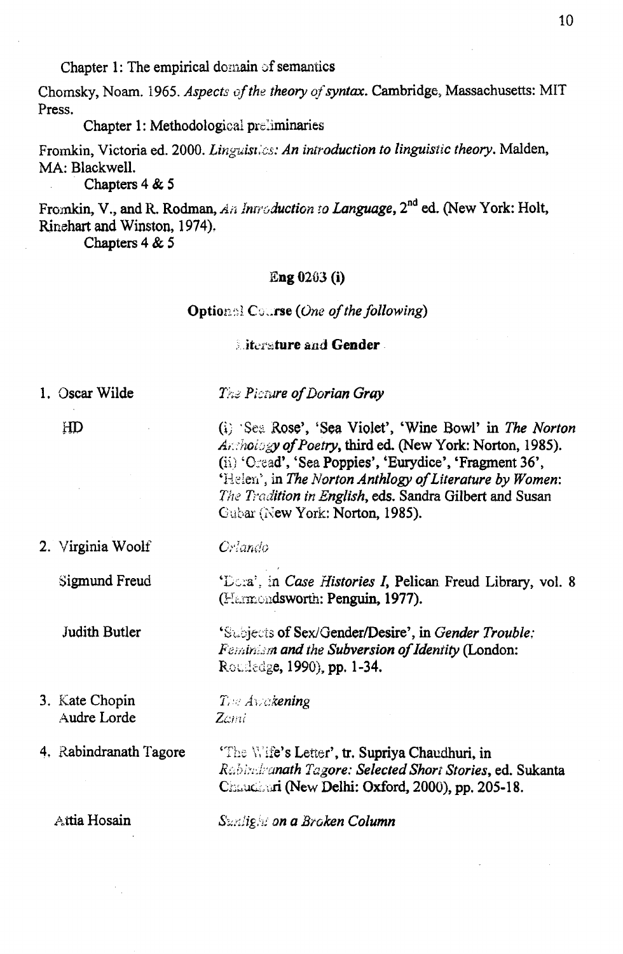Chapter 1: The empirical domain of semantics

Chomsky, Noam. 1965. *Aspects of the theory of syntax*. Cambridge, Massachusetts: MIT Press.

Chapter 1: Methodological preliminaries

Fromkin, Victoria ed. 2000. *Linguistics: An introduction to linguistic theory.* Malden, MA: Blackwell.

Chapters 4 & 5

Fromkin, V., and R. Rodman, *An Introduction to Language*, 2<sup>nd</sup> ed. (New York: Holt, Rinehart and Winston, 1974),

Chapters 4 & 5

#### Eng 0203 (i)

#### **Option;; Course** *(One of the following)*

**intersture and Gender**.

1. Oscar Wilde

*The Picture of Dorian Gray* 

HD

(i) Seii Rose', 'Sea Violet', 'Wine Bowl' in *The Norton Arthoiogy of Poetry, third ed. (New York: Norton, 1985).* (ii) 'Oread', 'Sea Poppies', 'Eurydice', 'Fragment 36', 'Helen', in *The Norton Anthlogy of Literature by Women*: *The Tradition in English,* eds. Sandra Gilbert and Susan Gubar (New York: Norton, 1985).

2. Virginia Woolf

Sigmund Freud

Judith Butler

*Orlando*

'Dora5., in *Case Histories I,* Pelican Freud Library, vol. 8 (Htermondsworth: Penguin, 1977).

'Subjects of Sex/Gender/Desire', in *Gender Trouble: Feminism and the Subversion of Identity* (London: Roudedge, 1990), pp. 1-34.

3. Kate Chopin Audre Lorde

*T,-i; Aw akening Zctni*

4, Rabindranath Tagore

'The Wife's Letter', tr. Supriya Chaudhuri, in *RCihhiikanath Tagore: Selected Short Stories,* ed. Sukanta Chaudini (New Delhi: Oxford, 2000), pp. 205-18.

**Attia Hosain** *Suniign!; on a Broken Column*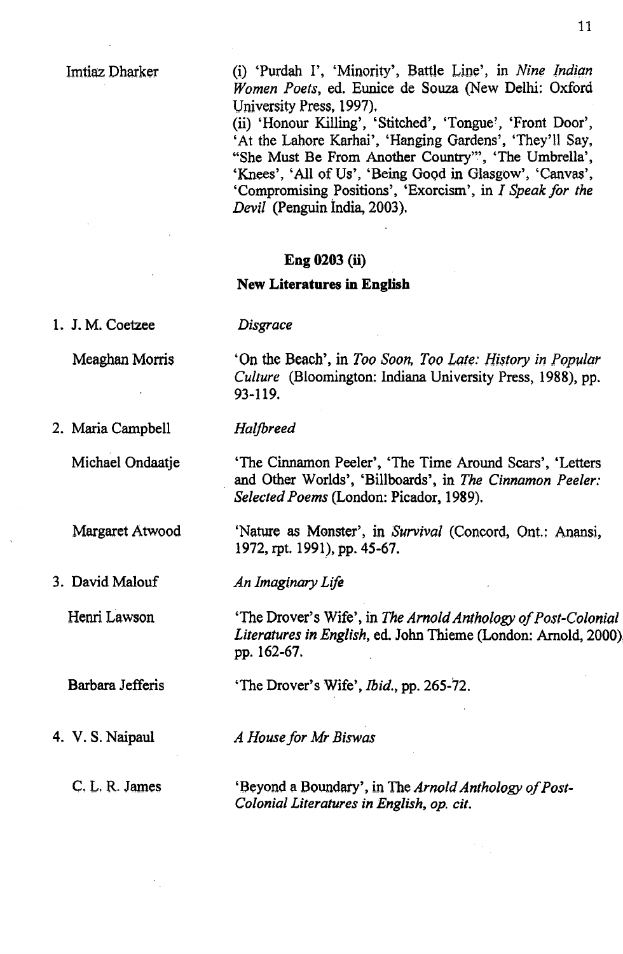### Imtiaz Dharker

(i) 'Purdah I', 'Minority', Battle Line', in *Nine Indian Women Poets,* ed. Eunice de Souza (New Delhi: Oxford University Press, 1997),

(ii) 'Honour Killing', 'Stitched', 'Tongue', 'Front Door', 'At the Lahore Karhai', 'Hanging Gardens', 'They'll Say, "She Must Be From Another Country'", 'The Umbrella', 'Knees', 'All of Us', 'Being Good in Glasgow', 'Canvas', 'Compromising Positions', 'Exorcism', in *I Speak for the Devil* (Penguin India, 2003).

#### **Eng 0203 (ii)**

#### **New Literatures in English**

*Disgrace*

*Halfbreed*

1. J. M. Coetzee

Meaghan Morris

'On the Beach', in *Too Soon, Too Late: History in Popular Culture* (Bloomington: Indiana University Press, 1988), pp. 93-119.

2. Maria Campbell

Michael Ondaatje

Margaret Atwood

3. David Malouf

Henri Lawson

Barbara Jefferis

4. V. S. Naipaul

C. L. R. James

'The Cinnamon Peeler', 'The Time Around Scars', 'Letters and Other Worlds', 'Billboards', in *The Cinnamon Peeler: Selected Poems* (London: Picador, 1989).

'Nature as Monster', in *Survival* (Concord, Ont.: Anansi, 1972, rpt. 1991), pp. 45-67.

*An Imaginary Life*

'The Drover's Wife', in *The Arnold Anthology of Post-Colonial Literatures in English,* ed. John Thieme (London: Arnold, 2000). pp. 162-67.

'The Drover's Wife', *Ibid.,* pp. 265-72.

*A House for Mr Biswas*

'Beyond a Boundary', in The *Arnold Anthology of Post-Colonial Literatures in English, op. cit.*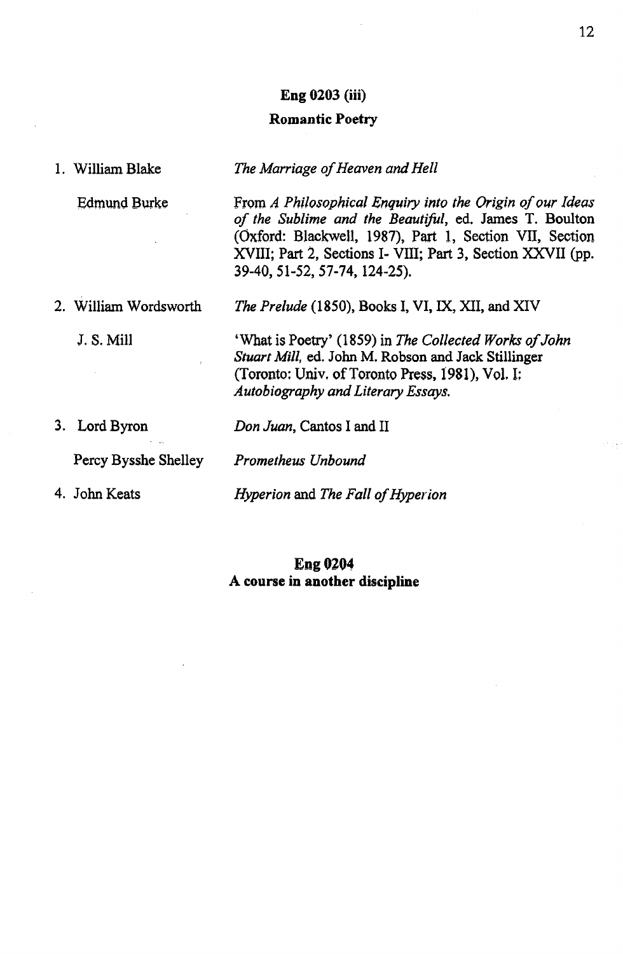#### **Eng 0203 (iii)**

#### **Romantic Poetry**

1. William Blake *The Marriage of Heaven and Hell* 

Edmund Burke From *A Philosophical Enquiry into the Origin of our Ideas* of the Sublime and the Beautiful, ed. James T. Boulton (Oxford: Blackwell, 1987), Part 1, Section VII, Section XVIII; Part 2, Sections I- VIII; Part 3, Section XXVII (pp. 39-40, 51-52, 57-74, 124-25).

2. William Wordsworth *The Prelude* (1850), Books I, VI, IX, XII, and XIV

J. S. Mill **What is Poetry'** (1859) in *The Collected Works of John Stuart Mill,* ed. John M. Robson and Jack Stillinger (Toronto: Univ. of Toronto Press, 1981), Vol. I: *Autobiography and Literary Essays.*

3. Lord Byron *Don Juan,* Cantos I and II

Percy Bysshe Shelley *Prometheus Unbound*

4. John Keats *Hyperion* and *The Fall of Hyperion* 

### **Eng 0204 A course in another discipline**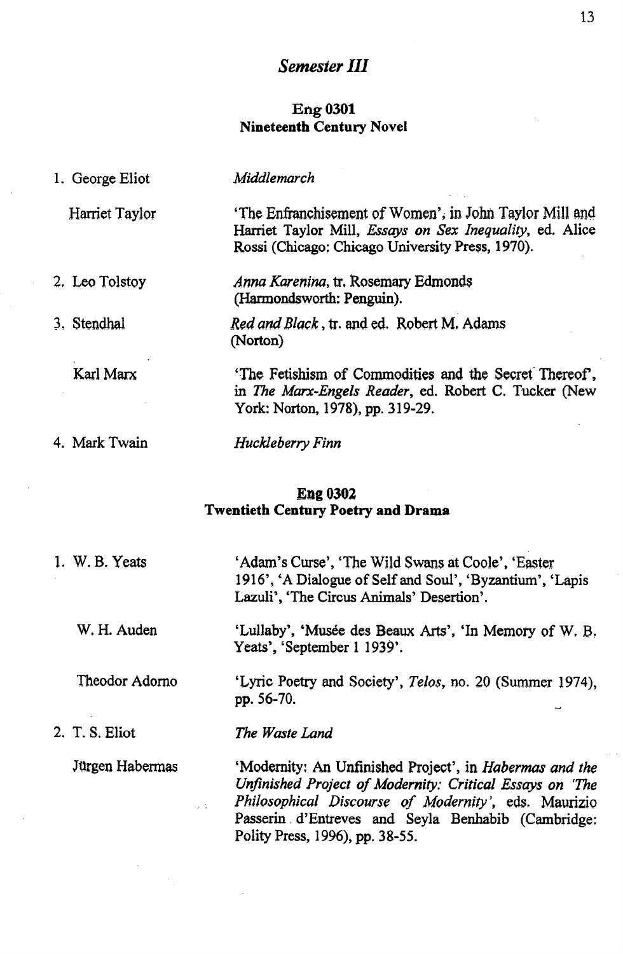# *Semester III*

### **Eng 0301 Nineteenth Century Novel**

| 1. George Eliot | Middlemarch                                                                                                                                                             |
|-----------------|-------------------------------------------------------------------------------------------------------------------------------------------------------------------------|
| Harriet Taylor  | 'The Enfranchisement of Women', in John Taylor Mill and<br>Harriet Taylor Mill, Essays on Sex Inequality, ed. Alice<br>Rossi (Chicago: Chicago University Press, 1970). |
| 2. Leo Tolstoy  | Anna Karenina, tr. Rosemary Edmonds<br>(Harmondsworth: Penguin).                                                                                                        |
| 3. Stendhal     | <i>Red and Black</i> , tr. and ed. Robert M. Adams<br>(Norton)                                                                                                          |
| Karl Marx       | The Fetishism of Commodities and the Secret Thereof,<br>in The Marx-Engels Reader, ed. Robert C. Tucker (New<br>York: Norton, 1978), pp. 319-29.                        |
| 4. Mark Twain   | Huckleberry Finn                                                                                                                                                        |

### **Eng 0302 Twentieth Century Poetry and Drama**

| 1. W. B. Yeats  | 'Adam's Curse', 'The Wild Swans at Coole', 'Easter'<br>1916', 'A Dialogue of Self and Soul', 'Byzantium', 'Lapis<br>Lazuli', 'The Circus Animals' Desertion'.                                                                                                               |
|-----------------|-----------------------------------------------------------------------------------------------------------------------------------------------------------------------------------------------------------------------------------------------------------------------------|
| W. H. Auden     | 'Lullaby', 'Musée des Beaux Arts', 'In Memory of W. B.<br>Yeats', 'September 1 1939'.                                                                                                                                                                                       |
| Theodor Adorno  | 'Lyric Poetry and Society', Telos, no. 20 (Summer 1974),<br>pp. 56-70.                                                                                                                                                                                                      |
| 2. T. S. Eliot  | The Waste Land                                                                                                                                                                                                                                                              |
| Jürgen Habermas | 'Modernity: An Unfinished Project', in <i>Habermas and the</i><br>Unfinished Project of Modernity: Critical Essays on 'The<br>Philosophical Discourse of Modernity', eds. Maurizio<br>Passerin d'Entreves and Seyla Benhabib (Cambridge:<br>Polity Press, 1996), pp. 38-55. |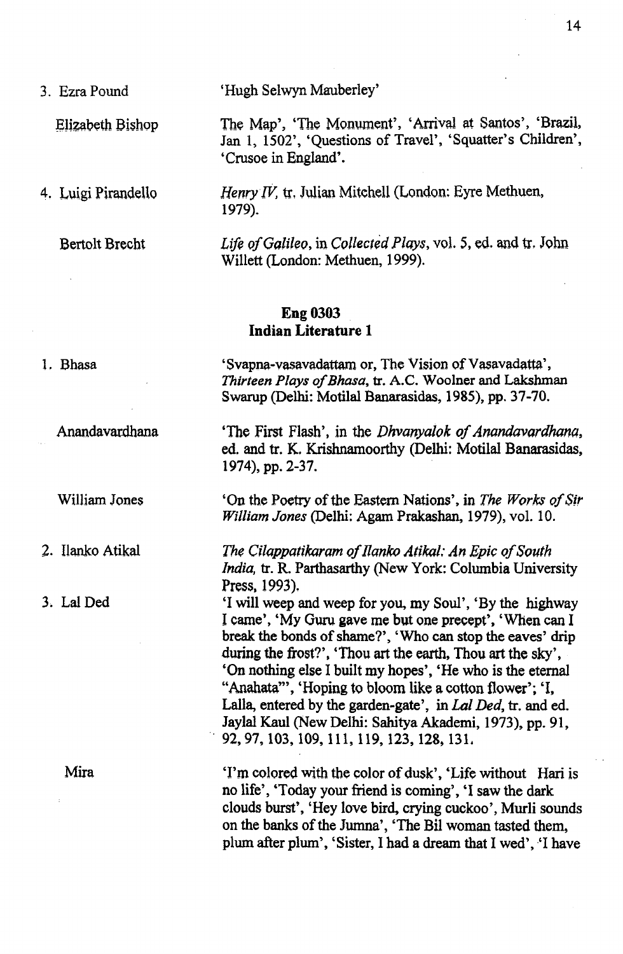3. Ezra Pound 'Hugh Selwyn Mauberley'

Elizabeth Bishop The Map', 'The Monument', 'Arrival at Santos', 'Brazil, Jan 1, 1502', 'Questions of Travel', 'Squatter's Children', 'Crusoe in England'.

4. Luigi Pirandello *Henry IV,* tr, Julian Mitchell (London; Eyre Methuen, 1979).

Bertolt Brecht *Life o f Galileo,* in *Collected Ploys,* vol. 5, ed. and tr, John Willett (London: Methuen, 1999).

## **Eng 0303 Indian Literature 1**

1, Bhasa 'Svapna-vasavadattam or, The Vision of Vasavadatta', *Thirteen Plays of Bhasa*, tr. A.C. Woolner and Lakshman Swarup (Delhi: Motilal Banarasidas, 1985), pp. 37-70.

Anandavardhana 'The First Flash', in the *Dhvanyalok of Anandavardhana*, ed. and tr. K. Krishnamoorthy (Delhi: Motilal Banarasidas, 1974), pp. 2-37.

William Jones 'On the Poetry of the Eastern Nations', in *The Works of Sir William Jones* (Delhi: Agam Prakashan, 1979), vol. 10.

2. Ilanko Atikal *The Cilappatikaram of Ilanko Atikal; An Epic of South India,* tr. R. Parthasarthy (New York: Columbia University Press, 1993),

3, Lai Ded 'I will weep and weep for you, my Soul', 'By the highway I came', 'My Guru gave me but one precept', 'When can I break the bonds of shame?', 'Who can stop the eaves' drip during the frost?', 'Thou art the earth, Thou art the sky', 'On nothing else I built my hopes', 'He who is the eternal "Anahata"', 'Hoping to bloom like a cotton flower'; 'I, Lalla, entered by the garden-gate', in *Lai Ded,* tr. and ed. Jaylal Kaul (New Delhi: Sahitya Akademi, 1973), pp. 91, 92,97,103,109, 111, 119,123,128,131.

Mira 'I'm colored with the color of dusk', 'Life without Hari is no life', 'Today your friend is coming', 'I saw the dark clouds burst', 'Hey love bird, crying cuckoo', Murli sounds on the banks of the Jumna', 'The Bil woman tasted them, plum after plum', 'Sister, I had a dream that I wed', 'I have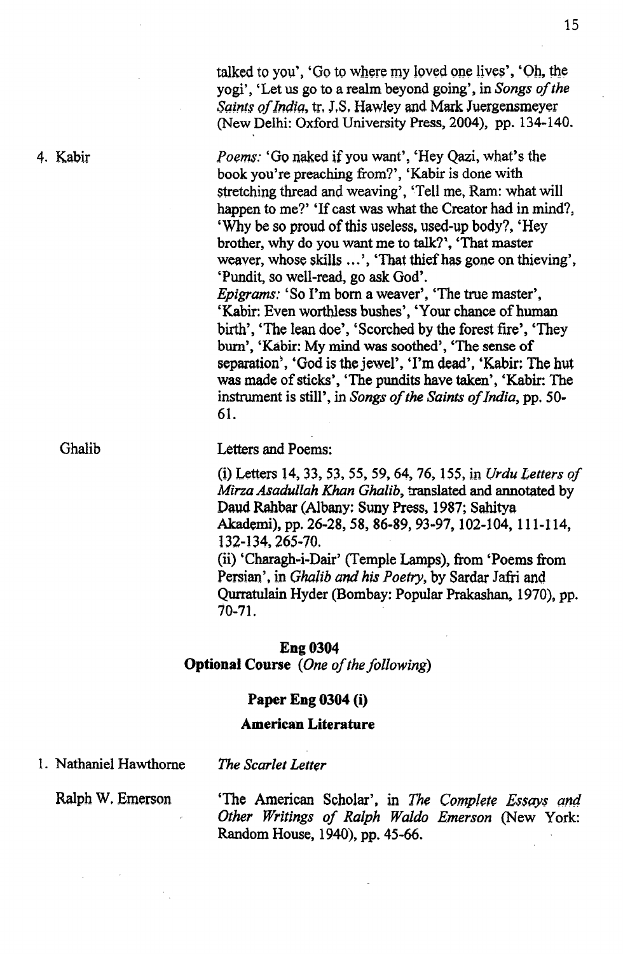*Saints of India, tr, J.S. Hawley and Mark Juergensmeyer* (New Delhi: Oxford University Press, 2004), pp. 134-140. 4. Kabir *Poems:* 'Go naked if you want', 'Hey Qazi, what's the book you're preaching from?', 'Kabir is done with stretching thread and weaving', 'Tell me, Ram: what will happen to me?' 'If cast was what the Creator had in mind?, 'Why be so proud of this useless, used-up body?, 'Hey brother, why do you want me to talk?', 'That master weaver, whose skills ...', 'That thief has gone on thieving',

> 'Pundit, so well-read, go ask God'. *Epigrams:* 'So I'm bom a weaver', 'The true master', 'Kabir: Even worthless bushes', 'Your chance of human birth', 'The lean doe', 'Scorched by the forest fire', 'They bum', 'Kabir: My mind was soothed', 'The sense of separation', 'God is the jewel', 'I'm dead', 'Kabir: The hut was made of sticks', 'The pundits have taken', 'Kabir: The instrument is still', in *Songs of the Saints of India*, pp. 50-61.

talked to you', 'Go to where my loved one lives', 'Oh, the yogi', 'Let us go to a realm beyond going', in *Songs of the* 

Ghalib Letters and Poems:

(i) Letters 14, 33, 53, 55, 59,64, 76,155, in *Urdu Letters o f Mirza Asadullah Khan Ghalib,* translated and annotated by Daud Rahbar (Albany: Suny Press, 1987; Sahitya Akademi), pp. 26-28, 58, 86-89, 93-97,102-104,111-114, 132-134,265-70. (ii) 'Charagh-i-Dair' (Temple Lamps), from 'Poems from Persian', in *Ghalib and his Poetry,* by Sardar Jafri and Qurratulain Hyder (Bombay: Popular Prakashan, 1970), pp.

70-71.

#### **Eng 0304**

**Optional Course** *(One of the following)* 

### **Paper Eng 0304 (i)**

### **American Literature**

1. Nathaniel Hawthorne *The Scarlet Letter*

Ralph W, Emerson 'The American Scholar', in *The Complete Essays and* Other Writings of Ralph Waldo Emerson (New York: Random House, 1940), pp. 45-66.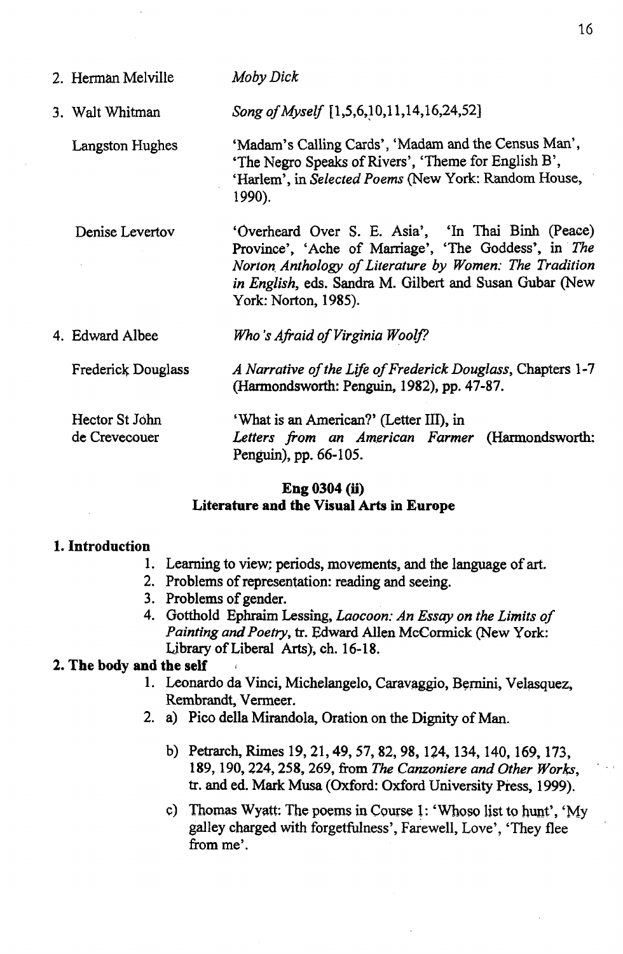| 2. Herman Melville              | Moby Dick                                                                                                                                                                                                                                               |
|---------------------------------|---------------------------------------------------------------------------------------------------------------------------------------------------------------------------------------------------------------------------------------------------------|
| 3. Walt Whitman                 | Song of Myself [1,5,6,10,11,14,16,24,52]                                                                                                                                                                                                                |
| Langston Hughes                 | 'Madam's Calling Cards', 'Madam and the Census Man',<br>'The Negro Speaks of Rivers', 'Theme for English B',<br>'Harlem', in Selected Poems (New York: Random House,<br>1990).                                                                          |
| Denise Levertov                 | 'Overheard Over S. E. Asia', 'In Thai Binh (Peace)<br>Province', 'Ache of Marriage', 'The Goddess', in The<br>Norton Anthology of Literature by Women: The Tradition<br>in English, eds. Sandra M. Gilbert and Susan Gubar (New<br>York: Norton, 1985). |
| 4. Edward Albee                 | Who's Afraid of Virginia Woolf?                                                                                                                                                                                                                         |
| Frederick Douglass              | A Narrative of the Life of Frederick Douglass, Chapters 1-7<br>(Harmondsworth: Penguin, 1982), pp. 47-87.                                                                                                                                               |
| Hector St John<br>de Crevecouer | 'What is an American?' (Letter III), in<br>Letters from an American Farmer (Harmondsworth:<br>Penguin), pp. 66-105.                                                                                                                                     |

16

## **Eng 0304 (ii) Literature and the Visual Arts in Europe**

### **1. Introduction**

- 1. Learning to view; periods, movements, and the language of art.
- 2. Problems of representation: reading and seeing.
- 3. Problems of gender.
- 4. Gotthold Ephraim Lessing, *Laocoon: An Essay on the Limits of Painting and Poetry,* tr. Edward Allen McCormick (New York: Library of Liberal Arts), ch. 16-18.

### **2. The body and the self**

- 1. Leonardo da Vinci, Michelangelo, Caravaggio, Bernini, Velasquez, Rembrandt, Vermeer.
- 2. a) Pico della Mirandola, Oration on the Dignity of Man.
	- b) Petrarch, Rimes 19, 21,49, 57, 82, 98,124,134,140,169,173, 189,190,224,258, 269, from *The Canzoniere and Other Works,* tr. and ed. Mark Musa (Oxford: Oxford University Press, 1999).
	- c) Thomas Wyatt: The poems in Course 1: 'Whoso list to hunt', 'My galley charged with forgetfulness', Farewell, Love', 'They flee from me'.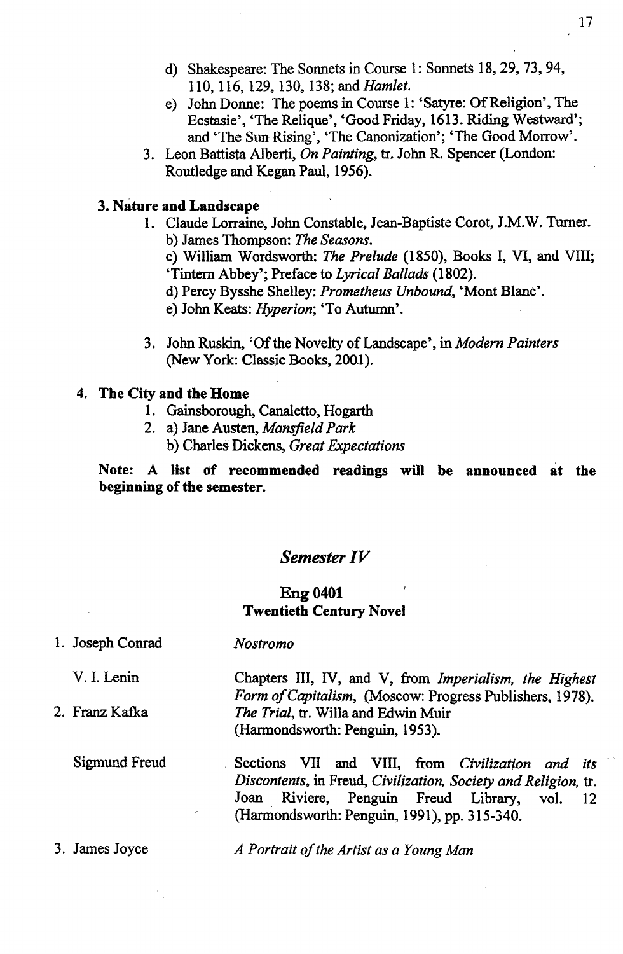- d) Shakespeare: The Sonnets in Course 1: Sonnets 18, 29,73,94, 110, 116,129, 130,138; and *Hamlet.*
- e) John Donne: The poems in Course 1: 'Satyre: Of Religion', The Ecstasie', 'The Relique', 'Good Friday, 1613. Riding Westward'; and 'The Sun Rising', 'The Canonization'; 'The Good Morrow'.
- 3. Leon Battista Alberti, *On Painting,* tr, John R. Spencer (London: Routledge and Kegan Paul, 1956).

#### **3. Nature and Landscape**

- 1. Claude Lorraine, John Constable, Jean-Baptiste Corot, J.M. W. Turner. b) James Thompson: *The Seasons.*
	- c) William Wordsworth: *The Prelude* (1850), Books I, VI, and VIII; 'Tintem Abbey'; Preface to *Lyrical Ballads* (1802).
	- d) Percy Bysshe Shelley: *Prometheus Unbound*, 'Mont Blanc'.
	- e) John Keats: *Hyperion*; 'To Autumn'.
- 3. John Ruskin, 'Of the Novelty of Landscape', in *Modem Painters* (New York: Classic Books, 2001).

### **4. The City and the Home**

- 1. Gainsborough, Canaletto, Hogarth
- 2. a) Jane Austen, *Mansfield Park* b) Charles Dickens, *Great Expectations*

**Note: A list df recommended readings will be announced at the beginning of the semester.**

### *Semester IV*

### **Eng 0401 Twentieth Century Novel**

| 1. Joseph Conrad   | Nostromo                                                                                                                                                                                                                   |
|--------------------|----------------------------------------------------------------------------------------------------------------------------------------------------------------------------------------------------------------------------|
| V. I. Lenin        | Chapters III, IV, and V, from Imperialism, the Highest<br>Form of Capitalism, (Moscow: Progress Publishers, 1978).                                                                                                         |
| 2. Franz Kafka     | The Trial, tr. Willa and Edwin Muir<br>(Harmondsworth: Penguin, 1953).                                                                                                                                                     |
| Sigmund Freud<br>× | Sections VII and VIII, from Civilization and its<br>Discontents, in Freud, Civilization, Society and Religion, tr.<br>Joan Riviere, Penguin Freud Library,<br>vol.<br>- 12<br>(Harmondsworth: Penguin, 1991), pp. 315-340. |
| 3. James Joyce     | A Portrait of the Artist as a Young Man                                                                                                                                                                                    |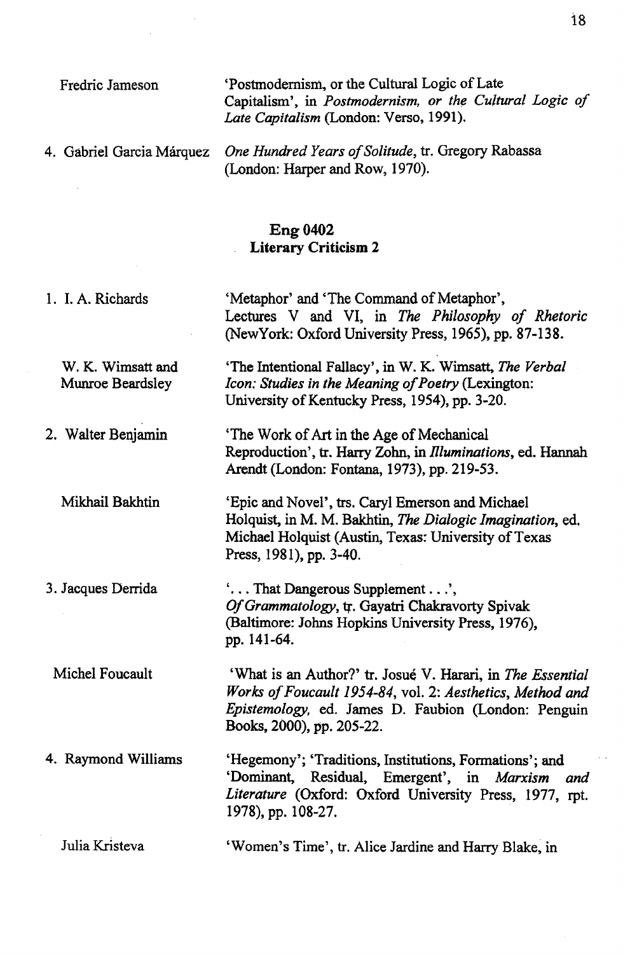Fredric Jameson

 $\ddot{\phantom{a}}$ 

4. Gabriel Garcia Márquez

 $\sim$ 

'Postmodernism, or the Cultural Logic of Late Capitalism', in *Postmodernism, or the Cultural Logic of Late Capitalism* (London: Verso, 1991).

One Hundred Years of Solitude, tr. Gregory Rabassa (London: Harper and Row, 1970).

# **Eng 0402 Literary Criticism 2**

| 1. I. A. Richards                     | 'Metaphor' and 'The Command of Metaphor',<br>Lectures V and VI, in The Philosophy of Rhetoric<br>(NewYork: Oxford University Press, 1965), pp. 87-138.                                                      |
|---------------------------------------|-------------------------------------------------------------------------------------------------------------------------------------------------------------------------------------------------------------|
| W. K. Wimsatt and<br>Munroe Beardsley | 'The Intentional Fallacy', in W. K. Wimsatt, The Verbal<br>Icon: Studies in the Meaning of Poetry (Lexington:<br>University of Kentucky Press, 1954), pp. 3-20.                                             |
| 2. Walter Benjamin                    | The Work of Art in the Age of Mechanical<br>Reproduction', tr. Harry Zohn, in <i>Illuminations</i> , ed. Hannah<br>Arendt (London: Fontana, 1973), pp. 219-53.                                              |
| Mikhail Bakhtin                       | 'Epic and Novel', trs. Caryl Emerson and Michael<br>Holquist, in M. M. Bakhtin, The Dialogic Imagination, ed.<br>Michael Holquist (Austin, Texas: University of Texas<br>Press, 1981), pp. 3-40.            |
| 3. Jacques Derrida                    | ' That Dangerous Supplement ',<br>Of Grammatology, tr. Gayatri Chakravorty Spivak<br>(Baltimore: Johns Hopkins University Press, 1976),<br>pp. 141-64.                                                      |
| Michel Foucault                       | 'What is an Author?' tr. Josué V. Harari, in The Essential<br>Works of Foucault 1954-84, vol. 2: Aesthetics, Method and<br>Epistemology, ed. James D. Faubion (London: Penguin<br>Books, 2000), pp. 205-22. |
| 4. Raymond Williams                   | 'Hegemony'; 'Traditions, Institutions, Formations'; and<br>'Dominant, Residual, Emergent', in Marxism and<br>Literature (Oxford: Oxford University Press, 1977, rpt.<br>1978), pp. 108-27.                  |
| Julia Kristeva                        | 'Women's Time', tr. Alice Jardine and Harry Blake, in                                                                                                                                                       |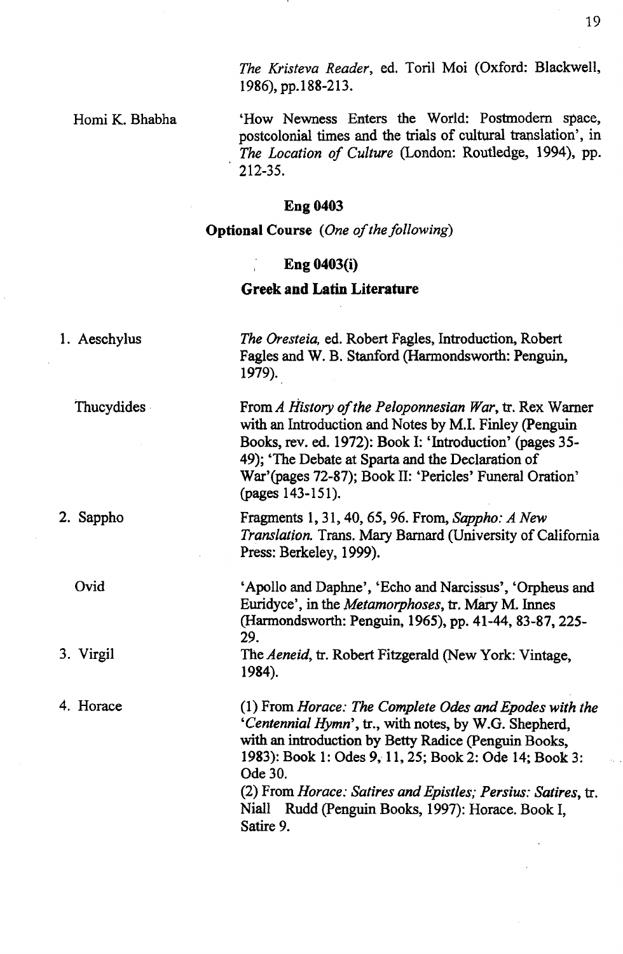*The Kristeva Reader,* ed. Toril Moi (Oxford: Blackwell, 1986), pp.188-213.

Homi K. Bhabha

'How Newness Enters the World: Postmodern space, postcolonial times and the trials of cultural translation', in The Location of Culture (London: Routledge, 1994), pp. ' 212-35.

# Eng 0403

**Optional Course** *(One of the following)* 

# Eng 0403(i)

### **Greek and Latin Literature**

| 1. Aeschylus | The Oresteia, ed. Robert Fagles, Introduction, Robert<br>Fagles and W. B. Stanford (Harmondsworth: Penguin,<br>1979).                                                                                                                                                                                                                                                                 |
|--------------|---------------------------------------------------------------------------------------------------------------------------------------------------------------------------------------------------------------------------------------------------------------------------------------------------------------------------------------------------------------------------------------|
| Thucydides   | From A History of the Peloponnesian War, tr. Rex Warner<br>with an Introduction and Notes by M.I. Finley (Penguin<br>Books, rev. ed. 1972): Book I: 'Introduction' (pages 35-<br>49); 'The Debate at Sparta and the Declaration of<br>War'(pages 72-87); Book II: 'Pericles' Funeral Oration'<br>(pages 143-151).                                                                     |
| 2. Sappho    | Fragments 1, 31, 40, 65, 96. From, Sappho: A New<br>Translation. Trans. Mary Barnard (University of California<br>Press: Berkeley, 1999).                                                                                                                                                                                                                                             |
| Ovid         | 'Apollo and Daphne', 'Echo and Narcissus', 'Orpheus and<br>Euridyce', in the <i>Metamorphoses</i> , tr. Mary M. Innes<br>(Harmondsworth: Penguin, 1965), pp. 41-44, 83-87, 225-<br>29.                                                                                                                                                                                                |
| 3. Virgil    | The Aeneid, tr. Robert Fitzgerald (New York: Vintage,<br>1984).                                                                                                                                                                                                                                                                                                                       |
| 4. Horace    | (1) From Horace: The Complete Odes and Epodes with the<br>'Centennial Hymn', tr., with notes, by W.G. Shepherd,<br>with an introduction by Betty Radice (Penguin Books,<br>1983): Book 1: Odes 9, 11, 25; Book 2: Ode 14; Book 3:<br>Ode 30.<br>(2) From <i>Horace: Satires and Epistles; Persius: Satires, tr.</i><br>Niall Rudd (Penguin Books, 1997): Horace. Book I,<br>Satire 9. |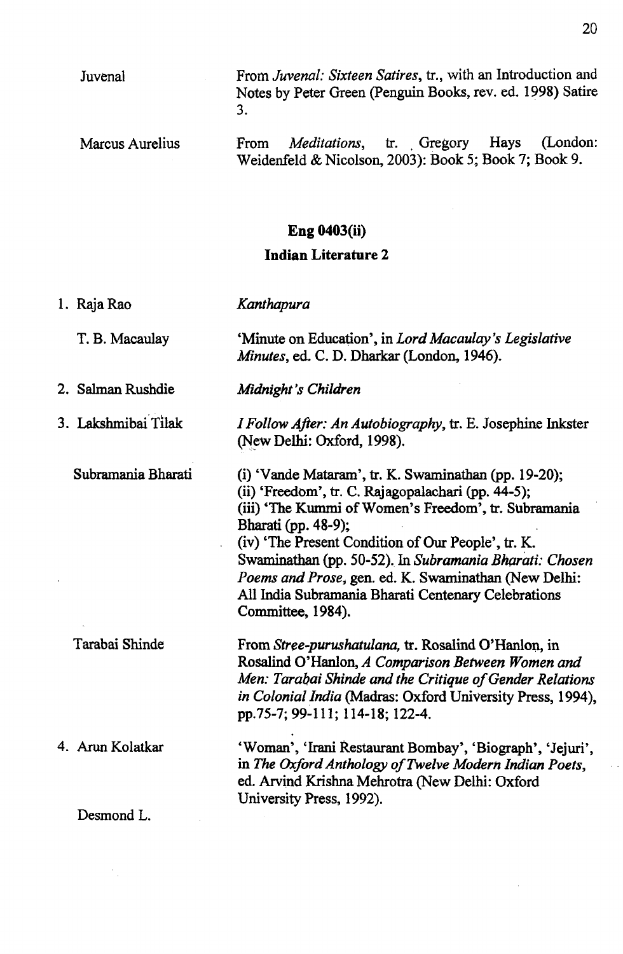|                     | 3.                                                                                                                                                                                                                                                                                                                                                                                                                                              |
|---------------------|-------------------------------------------------------------------------------------------------------------------------------------------------------------------------------------------------------------------------------------------------------------------------------------------------------------------------------------------------------------------------------------------------------------------------------------------------|
| Marcus Aurelius     | (London:<br><i>Meditations</i> , tr. Gregory Hays<br>From<br>Weidenfeld & Nicolson, 2003): Book 5; Book 7; Book 9.                                                                                                                                                                                                                                                                                                                              |
|                     | <b>Eng 0403(ii)</b>                                                                                                                                                                                                                                                                                                                                                                                                                             |
|                     | <b>Indian Literature 2</b>                                                                                                                                                                                                                                                                                                                                                                                                                      |
| 1. Raja Rao         | Kanthapura                                                                                                                                                                                                                                                                                                                                                                                                                                      |
| T. B. Macaulay      | 'Minute on Education', in Lord Macaulay's Legislative<br>Minutes, ed. C. D. Dharkar (London, 1946).                                                                                                                                                                                                                                                                                                                                             |
| 2. Salman Rushdie   | Midnight's Children                                                                                                                                                                                                                                                                                                                                                                                                                             |
| 3. Lakshmibai Tilak | <i>I Follow After: An Autobiography</i> , tr. E. Josephine Inkster<br>(New Delhi: Oxford, 1998).                                                                                                                                                                                                                                                                                                                                                |
| Subramania Bharati  | $(i)$ 'Vande Mataram', tr. K. Swaminathan (pp. 19-20);<br>(ii) 'Freedom', tr. C. Rajagopalachari (pp. 44-5);<br>(iii) 'The Kummi of Women's Freedom', tr. Subramania<br>Bharati (pp. 48-9);<br>(iv) 'The Present Condition of Our People', tr. K.<br>Swaminathan (pp. 50-52). In Subramania Bharati: Chosen<br>Poems and Prose, gen. ed. K. Swaminathan (New Delhi:<br>All India Subramania Bharati Centenary Celebrations<br>Committee, 1984). |
| Tarabai Shinde      | From Stree-purushatulana, tr. Rosalind O'Hanlon, in<br>Rosalind O'Hanlon, A Comparison Between Women and<br>Men: Tarabai Shinde and the Critique of Gender Relations<br>in Colonial India (Madras: Oxford University Press, 1994),<br>pp.75-7; 99-111; 114-18; 122-4.                                                                                                                                                                           |
| 4. Arun Kolatkar    | 'Woman', 'Irani Restaurant Bombay', 'Biograph', 'Jejuri',<br>in The Oxford Anthology of Twelve Modern Indian Poets,<br>ed. Arvind Krishna Mehrotra (New Delhi: Oxford<br>University Press, 1992).                                                                                                                                                                                                                                               |
| Desmond L.          |                                                                                                                                                                                                                                                                                                                                                                                                                                                 |
|                     |                                                                                                                                                                                                                                                                                                                                                                                                                                                 |

From *Juvenal: Sixteen Satires,* tr., with an Introduction and Notes by Peter Green (Penguin Books, rev. ed. 1998) Satire

Juvenal

 $\cdot$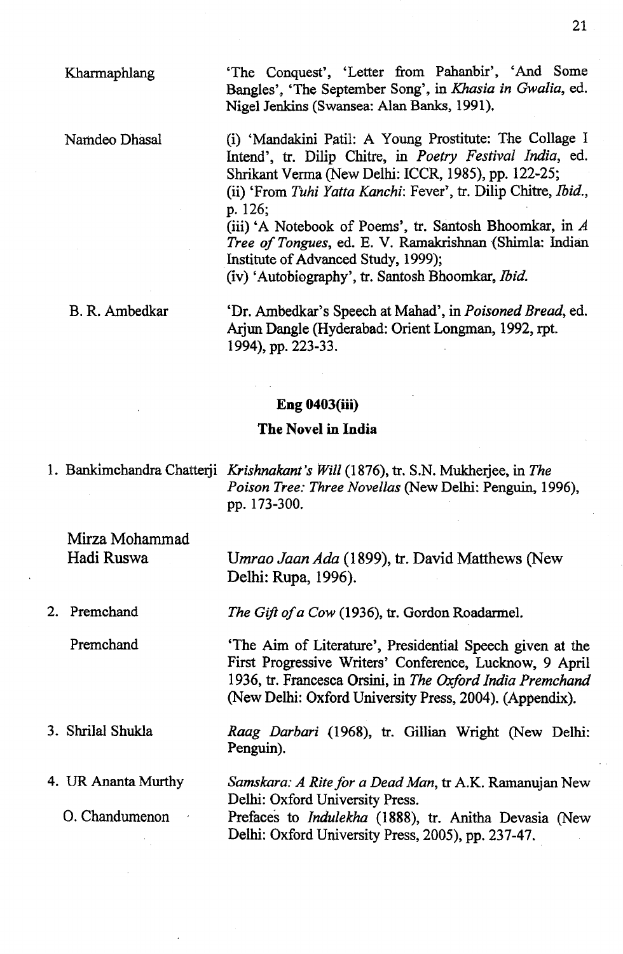Kharmaphlang

Namdeo Dhasal

'The Conquest', 'Letter from Pahanbir', 'And Some Bangles', 'The September Song', in *Khasia in Gwalia,* ed. Nigel Jenkins (Swansea: Alan Banks, 1991),

(i) 'Mandakini Patil: A Young Prostitute: The Collage I Intend', tr. Dilip Chitre, in *Poetry Festival India,* ed. Shrikant Verma (New Delhi: ICCR, 1985), pp. 122-25; (ii) 'From *Tuhi Yatta Kanchi*: Fever', tr. Dilip Chitre, *Ibid.*,

p. 126;

(iii) 'A Notebook of Poems', tr. Santosh Bhoomkar, in *A Tree of Tongues, ed. E. V. Ramakrishnan (Shimla: Indian* Institute of Advanced Study, 1999);

(iv) 'Autobiography', tr. Santosh Bhoomkar, *Ibid.*

B. R. Ambedkar

'Dr. Ambedkar's Speech at Mahad', in *Poisoned Bread,* ed. Ariun Dangle (Hyderabad: Orient Longman, 1992, rpt. 1994), pp. 223-33.

#### **Eng 0403(iii)**

#### **The Novel in India**

1. Bankimchandra Chatteqi *Krishnakant's Will* (1876), tr. S.N. Mukheijee, in *The Poison Tree: Three Novellas* (New Delhi: Penguin, 1996), pp. 173-300.

## Mirza Mohammad Hadi Ruswa

2. Premchand

Premchand

3. Shrilal Shukla

4. UR Ananta Murthy

0. Chandumenon

U*mrao Jaan Ada* (1899), tr. David Matthews (New Delhi: Rupa, 1996).

*The Gift of a Cow* (1936), tr. Gordon Roadarmel.

'The Aim of Literature', Presidential Speech given at the First Progressive Writers' Conference, Lucknow, 9 April 1936, tr. Francesca Orsini, in *The Oxford India Premchand* (New Delhi: Oxford University Press, 2004). (Appendix).

*Raag Darbari* (1968), tr. Gillian Wright (New Delhi: Penguin).

Samskara: A Rite for a Dead Man, tr A.K. Ramanujan New Delhi: Oxford University Press. Prefaces to *Indulekha* (1888), tr. Anitha Devasia (New Delhi: Oxford University Press, 2005), pp. 237-47.